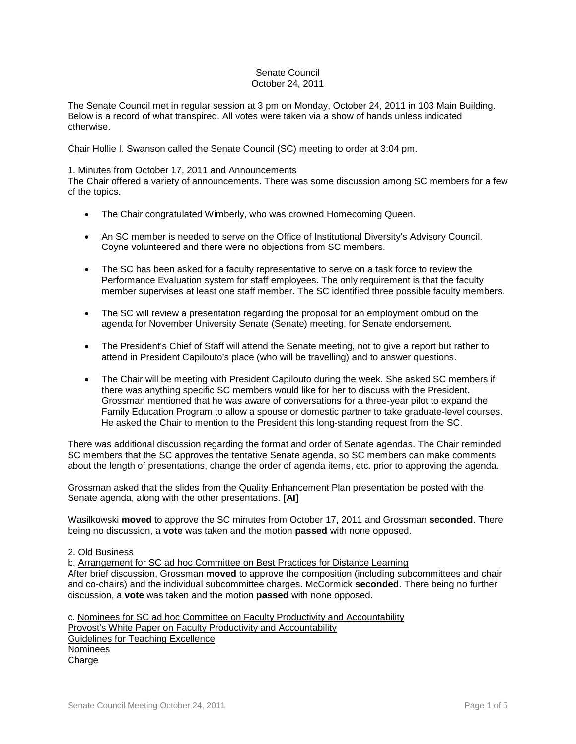## Senate Council October 24, 2011

The Senate Council met in regular session at 3 pm on Monday, October 24, 2011 in 103 Main Building. Below is a record of what transpired. All votes were taken via a show of hands unless indicated otherwise.

Chair Hollie I. Swanson called the Senate Council (SC) meeting to order at 3:04 pm.

## 1. Minutes from October 17, 2011 and Announcements

The Chair offered a variety of announcements. There was some discussion among SC members for a few of the topics.

- The Chair congratulated Wimberly, who was crowned Homecoming Queen.
- An SC member is needed to serve on the Office of Institutional Diversity's Advisory Council. Coyne volunteered and there were no objections from SC members.
- The SC has been asked for a faculty representative to serve on a task force to review the Performance Evaluation system for staff employees. The only requirement is that the faculty member supervises at least one staff member. The SC identified three possible faculty members.
- The SC will review a presentation regarding the proposal for an employment ombud on the agenda for November University Senate (Senate) meeting, for Senate endorsement.
- The President's Chief of Staff will attend the Senate meeting, not to give a report but rather to attend in President Capilouto's place (who will be travelling) and to answer questions.
- The Chair will be meeting with President Capilouto during the week. She asked SC members if there was anything specific SC members would like for her to discuss with the President. Grossman mentioned that he was aware of conversations for a three-year pilot to expand the Family Education Program to allow a spouse or domestic partner to take graduate-level courses. He asked the Chair to mention to the President this long-standing request from the SC.

There was additional discussion regarding the format and order of Senate agendas. The Chair reminded SC members that the SC approves the tentative Senate agenda, so SC members can make comments about the length of presentations, change the order of agenda items, etc. prior to approving the agenda.

Grossman asked that the slides from the Quality Enhancement Plan presentation be posted with the Senate agenda, along with the other presentations. **[AI]**

Wasilkowski **moved** to approve the SC minutes from October 17, 2011 and Grossman **seconded**. There being no discussion, a **vote** was taken and the motion **passed** with none opposed.

## 2. Old Business

b. Arrangement for SC ad hoc Committee on Best Practices for Distance Learning After brief discussion, Grossman **moved** to approve the composition (including subcommittees and chair and co-chairs) and the individual subcommittee charges. McCormick **seconded**. There being no further discussion, a **vote** was taken and the motion **passed** with none opposed.

c. Nominees for SC ad hoc Committee on Faculty Productivity and Accountability Provost's White Paper on Faculty Productivity and Accountability Guidelines for Teaching Excellence Nominees Charge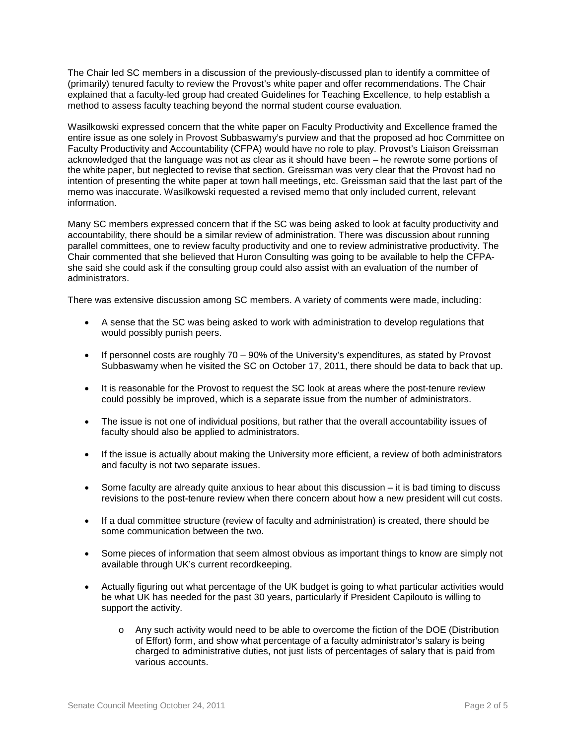The Chair led SC members in a discussion of the previously-discussed plan to identify a committee of (primarily) tenured faculty to review the Provost's white paper and offer recommendations. The Chair explained that a faculty-led group had created Guidelines for Teaching Excellence, to help establish a method to assess faculty teaching beyond the normal student course evaluation.

Wasilkowski expressed concern that the white paper on Faculty Productivity and Excellence framed the entire issue as one solely in Provost Subbaswamy's purview and that the proposed ad hoc Committee on Faculty Productivity and Accountability (CFPA) would have no role to play. Provost's Liaison Greissman acknowledged that the language was not as clear as it should have been – he rewrote some portions of the white paper, but neglected to revise that section. Greissman was very clear that the Provost had no intention of presenting the white paper at town hall meetings, etc. Greissman said that the last part of the memo was inaccurate. Wasilkowski requested a revised memo that only included current, relevant information.

Many SC members expressed concern that if the SC was being asked to look at faculty productivity and accountability, there should be a similar review of administration. There was discussion about running parallel committees, one to review faculty productivity and one to review administrative productivity. The Chair commented that she believed that Huron Consulting was going to be available to help the CFPAshe said she could ask if the consulting group could also assist with an evaluation of the number of administrators.

There was extensive discussion among SC members. A variety of comments were made, including:

- A sense that the SC was being asked to work with administration to develop regulations that would possibly punish peers.
- If personnel costs are roughly 70 90% of the University's expenditures, as stated by Provost Subbaswamy when he visited the SC on October 17, 2011, there should be data to back that up.
- It is reasonable for the Provost to request the SC look at areas where the post-tenure review could possibly be improved, which is a separate issue from the number of administrators.
- The issue is not one of individual positions, but rather that the overall accountability issues of faculty should also be applied to administrators.
- If the issue is actually about making the University more efficient, a review of both administrators and faculty is not two separate issues.
- Some faculty are already quite anxious to hear about this discussion it is bad timing to discuss revisions to the post-tenure review when there concern about how a new president will cut costs.
- If a dual committee structure (review of faculty and administration) is created, there should be some communication between the two.
- Some pieces of information that seem almost obvious as important things to know are simply not available through UK's current recordkeeping.
- Actually figuring out what percentage of the UK budget is going to what particular activities would be what UK has needed for the past 30 years, particularly if President Capilouto is willing to support the activity.
	- o Any such activity would need to be able to overcome the fiction of the DOE (Distribution of Effort) form, and show what percentage of a faculty administrator's salary is being charged to administrative duties, not just lists of percentages of salary that is paid from various accounts.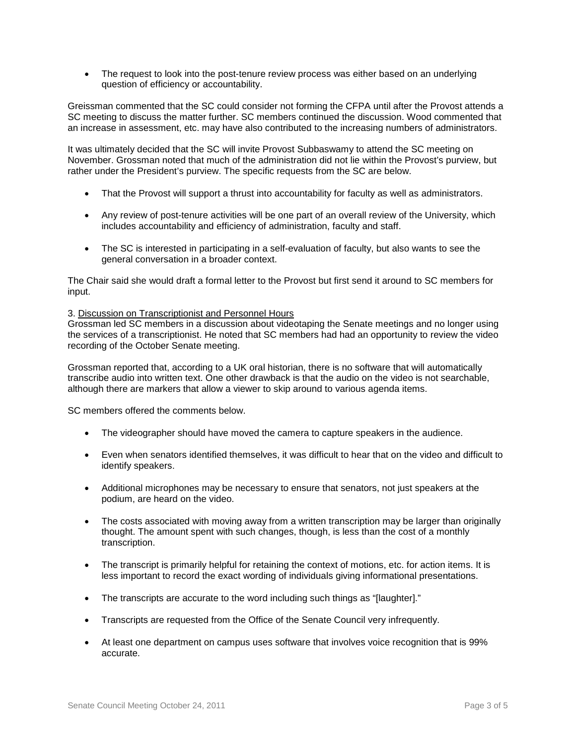• The request to look into the post-tenure review process was either based on an underlying question of efficiency or accountability.

Greissman commented that the SC could consider not forming the CFPA until after the Provost attends a SC meeting to discuss the matter further. SC members continued the discussion. Wood commented that an increase in assessment, etc. may have also contributed to the increasing numbers of administrators.

It was ultimately decided that the SC will invite Provost Subbaswamy to attend the SC meeting on November. Grossman noted that much of the administration did not lie within the Provost's purview, but rather under the President's purview. The specific requests from the SC are below.

- That the Provost will support a thrust into accountability for faculty as well as administrators.
- Any review of post-tenure activities will be one part of an overall review of the University, which includes accountability and efficiency of administration, faculty and staff.
- The SC is interested in participating in a self-evaluation of faculty, but also wants to see the general conversation in a broader context.

The Chair said she would draft a formal letter to the Provost but first send it around to SC members for input.

## 3. Discussion on Transcriptionist and Personnel Hours

Grossman led SC members in a discussion about videotaping the Senate meetings and no longer using the services of a transcriptionist. He noted that SC members had had an opportunity to review the video recording of the October Senate meeting.

Grossman reported that, according to a UK oral historian, there is no software that will automatically transcribe audio into written text. One other drawback is that the audio on the video is not searchable, although there are markers that allow a viewer to skip around to various agenda items.

SC members offered the comments below.

- The videographer should have moved the camera to capture speakers in the audience.
- Even when senators identified themselves, it was difficult to hear that on the video and difficult to identify speakers.
- Additional microphones may be necessary to ensure that senators, not just speakers at the podium, are heard on the video.
- The costs associated with moving away from a written transcription may be larger than originally thought. The amount spent with such changes, though, is less than the cost of a monthly transcription.
- The transcript is primarily helpful for retaining the context of motions, etc. for action items. It is less important to record the exact wording of individuals giving informational presentations.
- The transcripts are accurate to the word including such things as "[laughter]."
- Transcripts are requested from the Office of the Senate Council very infrequently.
- At least one department on campus uses software that involves voice recognition that is 99% accurate.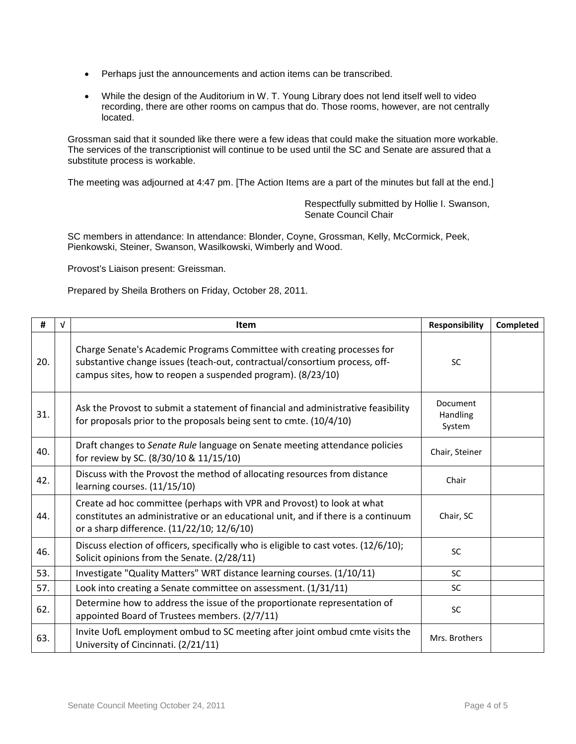- Perhaps just the announcements and action items can be transcribed.
- While the design of the Auditorium in W. T. Young Library does not lend itself well to video recording, there are other rooms on campus that do. Those rooms, however, are not centrally located.

Grossman said that it sounded like there were a few ideas that could make the situation more workable. The services of the transcriptionist will continue to be used until the SC and Senate are assured that a substitute process is workable.

The meeting was adjourned at 4:47 pm. [The Action Items are a part of the minutes but fall at the end.]

Respectfully submitted by Hollie I. Swanson, Senate Council Chair

SC members in attendance: In attendance: Blonder, Coyne, Grossman, Kelly, McCormick, Peek, Pienkowski, Steiner, Swanson, Wasilkowski, Wimberly and Wood.

Provost's Liaison present: Greissman.

Prepared by Sheila Brothers on Friday, October 28, 2011.

| #   | V | <b>Item</b>                                                                                                                                                                                                          | <b>Responsibility</b>          | Completed |
|-----|---|----------------------------------------------------------------------------------------------------------------------------------------------------------------------------------------------------------------------|--------------------------------|-----------|
| 20. |   | Charge Senate's Academic Programs Committee with creating processes for<br>substantive change issues (teach-out, contractual/consortium process, off-<br>campus sites, how to reopen a suspended program). (8/23/10) | <b>SC</b>                      |           |
| 31. |   | Ask the Provost to submit a statement of financial and administrative feasibility<br>for proposals prior to the proposals being sent to cmte. (10/4/10)                                                              | Document<br>Handling<br>System |           |
| 40. |   | Draft changes to Senate Rule language on Senate meeting attendance policies<br>for review by SC. (8/30/10 & 11/15/10)                                                                                                | Chair, Steiner                 |           |
| 42. |   | Discuss with the Provost the method of allocating resources from distance<br>learning courses. (11/15/10)                                                                                                            | Chair                          |           |
| 44. |   | Create ad hoc committee (perhaps with VPR and Provost) to look at what<br>constitutes an administrative or an educational unit, and if there is a continuum<br>or a sharp difference. (11/22/10; 12/6/10)            | Chair, SC                      |           |
| 46. |   | Discuss election of officers, specifically who is eligible to cast votes. (12/6/10);<br>Solicit opinions from the Senate. (2/28/11)                                                                                  | SC                             |           |
| 53. |   | Investigate "Quality Matters" WRT distance learning courses. (1/10/11)                                                                                                                                               | <b>SC</b>                      |           |
| 57. |   | Look into creating a Senate committee on assessment. (1/31/11)                                                                                                                                                       | <b>SC</b>                      |           |
| 62. |   | Determine how to address the issue of the proportionate representation of<br>appointed Board of Trustees members. (2/7/11)                                                                                           | <b>SC</b>                      |           |
| 63. |   | Invite UofL employment ombud to SC meeting after joint ombud cmte visits the<br>University of Cincinnati. (2/21/11)                                                                                                  | Mrs. Brothers                  |           |